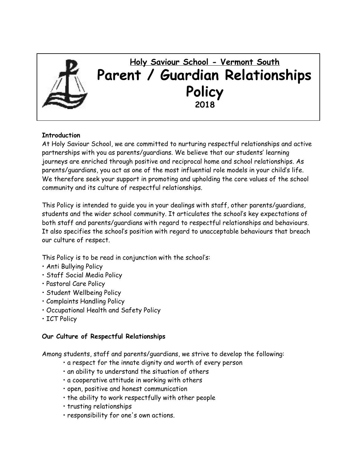

## **Introduction**

At Holy Saviour School, we are committed to nurturing respectful relationships and active partnerships with you as parents/guardians. We believe that our students' learning journeys are enriched through positive and reciprocal home and school relationships. As parents/guardians, you act as one of the most influential role models in your child's life. We therefore seek your support in promoting and upholding the core values of the school community and its culture of respectful relationships.

This Policy is intended to guide you in your dealings with staff, other parents/guardians, students and the wider school community. It articulates the school's key expectations of both staff and parents/guardians with regard to respectful relationships and behaviours. It also specifies the school's position with regard to unacceptable behaviours that breach our culture of respect.

This Policy is to be read in conjunction with the school's:

- Anti Bullying Policy
- Staff Social Media Policy
- Pastoral Care Policy
- Student Wellbeing Policy
- Complaints Handling Policy
- Occupational Health and Safety Policy
- ICT Policy

## **Our Culture of Respectful Relationships**

Among students, staff and parents/guardians, we strive to develop the following:

- a respect for the innate dignity and worth of every person
- an ability to understand the situation of others
- a cooperative attitude in working with others
- open, positive and honest communication
- the ability to work respectfully with other people
- trusting relationships
- responsibility for one's own actions.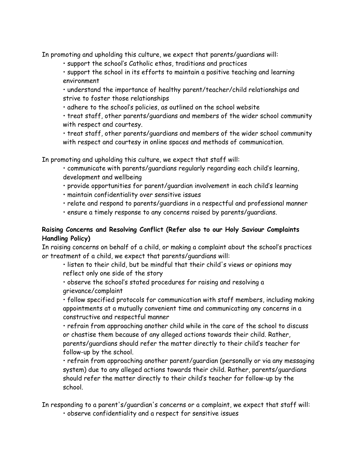In promoting and upholding this culture, we expect that parents/guardians will:

• support the school's Catholic ethos, traditions and practices

• support the school in its efforts to maintain a positive teaching and learning environment

• understand the importance of healthy parent/teacher/child relationships and strive to foster those relationships

• adhere to the school's policies, as outlined on the school website

• treat staff, other parents/guardians and members of the wider school community with respect and courtesy.

• treat staff, other parents/guardians and members of the wider school community with respect and courtesy in online spaces and methods of communication.

In promoting and upholding this culture, we expect that staff will:

• communicate with parents/guardians regularly regarding each child's learning, development and wellbeing

• provide opportunities for parent/guardian involvement in each child's learning

- maintain confidentiality over sensitive issues
- relate and respond to parents/guardians in a respectful and professional manner
- ensure a timely response to any concerns raised by parents/guardians.

## **Raising Concerns and Resolving Conflict (Refer also to our Holy Saviour Complaints Handling Policy)**

In raising concerns on behalf of a child, or making a complaint about the school's practices or treatment of a child, we expect that parents/guardians will:

• listen to their child, but be mindful that their child's views or opinions may reflect only one side of the story

• observe the school's stated procedures for raising and resolving a grievance/complaint

• follow specified protocols for communication with staff members, including making appointments at a mutually convenient time and communicating any concerns in a constructive and respectful manner

• refrain from approaching another child while in the care of the school to discuss or chastise them because of any alleged actions towards their child. Rather, parents/guardians should refer the matter directly to their child's teacher for follow-up by the school.

• refrain from approaching another parent/guardian (personally or via any messaging system) due to any alleged actions towards their child. Rather, parents/guardians should refer the matter directly to their child's teacher for follow-up by the school.

In responding to a parent's/guardian's concerns or a complaint, we expect that staff will: • observe confidentiality and a respect for sensitive issues